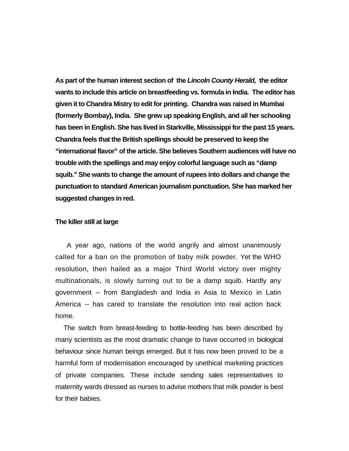**As part of the human interest section of the** *Lincoln County Herald,* **the editor wants to include this article on breastfeeding vs. formula in India. The editor has given it to Chandra Mistry to edit for printing. Chandra was raised in Mumbai (formerly Bombay), India. She grew up speaking English, and all her schooling has been in English. She has lived in Starkville, Mississippi for the past 15 years. Chandra feels that the British spellings should be preserved to keep the "international flavor" of the article. She believes Southern audiences will have no trouble with the spellings and may enjoy colorful language such as "damp squib." She wants to change the amount of rupees into dollars and change the punctuation to standard American journalism punctuation. She has marked her suggested changes in red.** 

## **The killer still at large**

 A year ago, nations of the world angrily and almost unanimously called for a ban on the promotion of baby milk powder. Yet the WHO resolution, then hailed as a major Third World victory over mighty multinationals, is slowly turning out to be a damp squib. Hardly any government -- from Bangladesh and India in Asia to Mexico in Latin America -- has cared to translate the resolution into real action back home.

The switch from breast-feeding to bottle-feeding has been described by many scientists as the most dramatic change to have occurred in biological behaviour since human beings emerged. But it has now been proved to be a harmful form of modernisation encouraged by unethical marketing practices of private companies. These include sending sales representatives to maternity wards dressed as nurses to advise mothers that milk powder is best for their babies.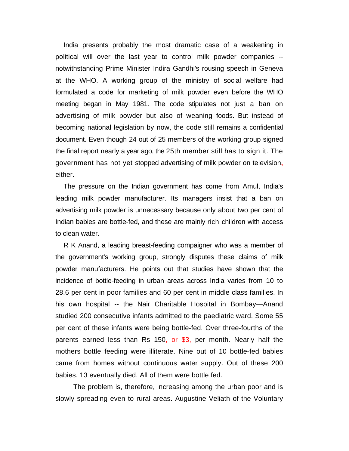India presents probably the most dramatic case of a weakening in political will over the last year to control milk powder companies - notwithstanding Prime Minister Indira Gandhi's rousing speech in Geneva at the WHO. A working group of the ministry of social welfare had formulated a code for marketing of milk powder even before the WHO meeting began in May 1981. The code stipulates not just a ban on advertising of milk powder but also of weaning foods. But instead of becoming national legislation by now, the code still remains a confidential document. Even though 24 out of 25 members of the working group signed the final report nearly a year ago, the 25th member still has to sign it. The government has not yet stopped advertising of milk powder on television**,** either.

The pressure on the Indian government has come from Amul, India's leading milk powder manufacturer. Its managers insist that a ban on advertising milk powder is unnecessary because only about two per cent of Indian babies are bottle-fed, and these are mainly rich children with access to clean water.

R K Anand, a leading breast-feeding compaigner who was a member of the government's working group, strongly disputes these claims of milk powder manufacturers. He points out that studies have shown that the incidence of bottle-feeding in urban areas across India varies from 10 to 28.6 per cent in poor families and 60 per cent in middle class families. In his own hospital -- the Nair Charitable Hospital in Bombay—Anand studied 200 consecutive infants admitted to the paediatric ward. Some 55 per cent of these infants were being bottle-fed. Over three-fourths of the parents earned less than Rs 150, or \$3, per month. Nearly half the mothers bottle feeding were illiterate. Nine out of 10 bottle-fed babies came from homes without continuous water supply. Out of these 200 babies, 13 eventually died. All of them were bottle fed.

 The problem is, therefore, increasing among the urban poor and is slowly spreading even to rural areas. Augustine Veliath of the Voluntary